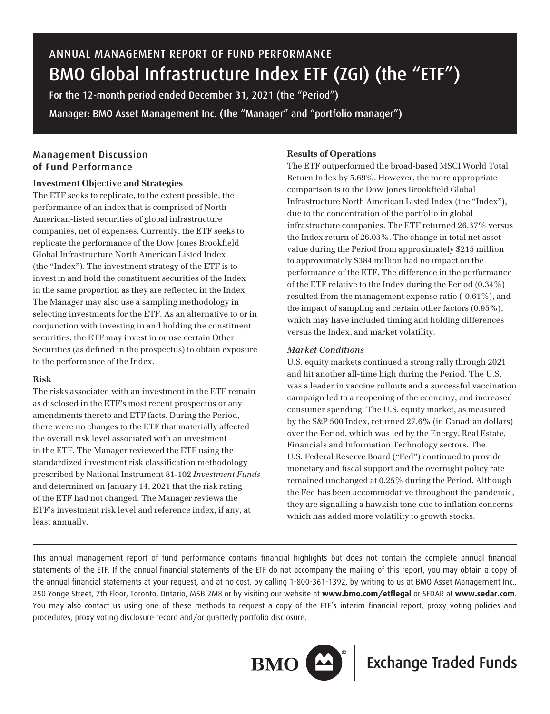# ANNUAL MANAGEMENT REPORT OF FUND PERFORMANCE BMO Global Infrastructure Index ETF (ZGI) (the "ETF")

For the 12-month period ended December 31, 2021 (the "Period") Manager: BMO Asset Management Inc. (the "Manager" and "portfolio manager")

# Management Discussion of Fund Performance

### **Investment Objective and Strategies**

The ETF seeks to replicate, to the extent possible, the performance of an index that is comprised of North American-listed securities of global infrastructure companies, net of expenses. Currently, the ETF seeks to replicate the performance of the Dow Jones Brookfield Global Infrastructure North American Listed Index (the "Index"). The investment strategy of the ETF is to invest in and hold the constituent securities of the Index in the same proportion as they are reflected in the Index. The Manager may also use a sampling methodology in selecting investments for the ETF. As an alternative to or in conjunction with investing in and holding the constituent securities, the ETF may invest in or use certain Other Securities (as defined in the prospectus) to obtain exposure to the performance of the Index.

### **Risk**

The risks associated with an investment in the ETF remain as disclosed in the ETF's most recent prospectus or any amendments thereto and ETF facts. During the Period, there were no changes to the ETF that materially affected the overall risk level associated with an investment in the ETF. The Manager reviewed the ETF using the standardized investment risk classification methodology prescribed by National Instrument 81-102 *Investment Funds* and determined on January 14, 2021 that the risk rating of the ETF had not changed. The Manager reviews the ETF's investment risk level and reference index, if any, at least annually.

### **Results of Operations**

The ETF outperformed the broad-based MSCI World Total Return Index by 5.69%. However, the more appropriate comparison is to the Dow Jones Brookfield Global Infrastructure North American Listed Index (the "Index"), due to the concentration of the portfolio in global infrastructure companies. The ETF returned 26.37% versus the Index return of 26.03%. The change in total net asset value during the Period from approximately \$215 million to approximately \$384 million had no impact on the performance of the ETF. The difference in the performance of the ETF relative to the Index during the Period (0.34%) resulted from the management expense ratio (-0.61%), and the impact of sampling and certain other factors (0.95%), which may have included timing and holding differences versus the Index, and market volatility.

### *Market Conditions*

U.S. equity markets continued a strong rally through 2021 and hit another all-time high during the Period. The U.S. was a leader in vaccine rollouts and a successful vaccination campaign led to a reopening of the economy, and increased consumer spending. The U.S. equity market, as measured by the S&P 500 Index, returned 27.6% (in Canadian dollars) over the Period, which was led by the Energy, Real Estate, Financials and Information Technology sectors. The U.S. Federal Reserve Board ("Fed") continued to provide monetary and fiscal support and the overnight policy rate remained unchanged at 0.25% during the Period. Although the Fed has been accommodative throughout the pandemic, they are signalling a hawkish tone due to inflation concerns which has added more volatility to growth stocks.

This annual management report of fund performance contains financial highlights but does not contain the complete annual financial statements of the ETF. If the annual financial statements of the ETF do not accompany the mailing of this report, you may obtain a copy of the annual financial statements at your request, and at no cost, by calling 1-800-361-1392, by writing to us at BMO Asset Management Inc., 250 Yonge Street, 7th Floor, Toronto, Ontario, M5B 2M8 or by visiting our website at **www.bmo.com/etflegal** or SEDAR at **www.sedar.com**. You may also contact us using one of these methods to request a copy of the ETF's interim financial report, proxy voting policies and procedures, proxy voting disclosure record and/or quarterly portfolio disclosure.



**BMO**  $\sum^{\infty}$  Exchange Traded Funds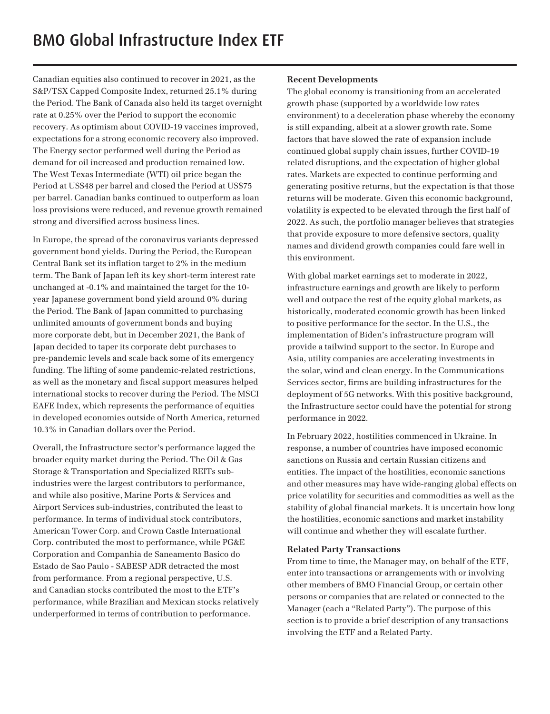Canadian equities also continued to recover in 2021, as the S&P/TSX Capped Composite Index, returned 25.1% during the Period. The Bank of Canada also held its target overnight rate at 0.25% over the Period to support the economic recovery. As optimism about COVID-19 vaccines improved, expectations for a strong economic recovery also improved. The Energy sector performed well during the Period as demand for oil increased and production remained low. The West Texas Intermediate (WTI) oil price began the Period at US\$48 per barrel and closed the Period at US\$75 per barrel. Canadian banks continued to outperform as loan loss provisions were reduced, and revenue growth remained strong and diversified across business lines.

In Europe, the spread of the coronavirus variants depressed government bond yields. During the Period, the European Central Bank set its inflation target to 2% in the medium term. The Bank of Japan left its key short-term interest rate unchanged at -0.1% and maintained the target for the 10 year Japanese government bond yield around 0% during the Period. The Bank of Japan committed to purchasing unlimited amounts of government bonds and buying more corporate debt, but in December 2021, the Bank of Japan decided to taper its corporate debt purchases to pre-pandemic levels and scale back some of its emergency funding. The lifting of some pandemic-related restrictions, as well as the monetary and fiscal support measures helped international stocks to recover during the Period. The MSCI EAFE Index, which represents the performance of equities in developed economies outside of North America, returned 10.3% in Canadian dollars over the Period.

Overall, the Infrastructure sector's performance lagged the broader equity market during the Period. The Oil & Gas Storage & Transportation and Specialized REITs subindustries were the largest contributors to performance, and while also positive, Marine Ports & Services and Airport Services sub-industries, contributed the least to performance. In terms of individual stock contributors, American Tower Corp. and Crown Castle International Corp. contributed the most to performance, while PG&E Corporation and Companhia de Saneamento Basico do Estado de Sao Paulo - SABESP ADR detracted the most from performance. From a regional perspective, U.S. and Canadian stocks contributed the most to the ETF's performance, while Brazilian and Mexican stocks relatively underperformed in terms of contribution to performance.

### **Recent Developments**

The global economy is transitioning from an accelerated growth phase (supported by a worldwide low rates environment) to a deceleration phase whereby the economy is still expanding, albeit at a slower growth rate. Some factors that have slowed the rate of expansion include continued global supply chain issues, further COVID-19 related disruptions, and the expectation of higher global rates. Markets are expected to continue performing and generating positive returns, but the expectation is that those returns will be moderate. Given this economic background, volatility is expected to be elevated through the first half of 2022. As such, the portfolio manager believes that strategies that provide exposure to more defensive sectors, quality names and dividend growth companies could fare well in this environment.

With global market earnings set to moderate in 2022, infrastructure earnings and growth are likely to perform well and outpace the rest of the equity global markets, as historically, moderated economic growth has been linked to positive performance for the sector. In the U.S., the implementation of Biden's infrastructure program will provide a tailwind support to the sector. In Europe and Asia, utility companies are accelerating investments in the solar, wind and clean energy. In the Communications Services sector, firms are building infrastructures for the deployment of 5G networks. With this positive background, the Infrastructure sector could have the potential for strong performance in 2022.

In February 2022, hostilities commenced in Ukraine. In response, a number of countries have imposed economic sanctions on Russia and certain Russian citizens and entities. The impact of the hostilities, economic sanctions and other measures may have wide-ranging global effects on price volatility for securities and commodities as well as the stability of global financial markets. It is uncertain how long the hostilities, economic sanctions and market instability will continue and whether they will escalate further.

### **Related Party Transactions**

From time to time, the Manager may, on behalf of the ETF, enter into transactions or arrangements with or involving other members of BMO Financial Group, or certain other persons or companies that are related or connected to the Manager (each a "Related Party"). The purpose of this section is to provide a brief description of any transactions involving the ETF and a Related Party.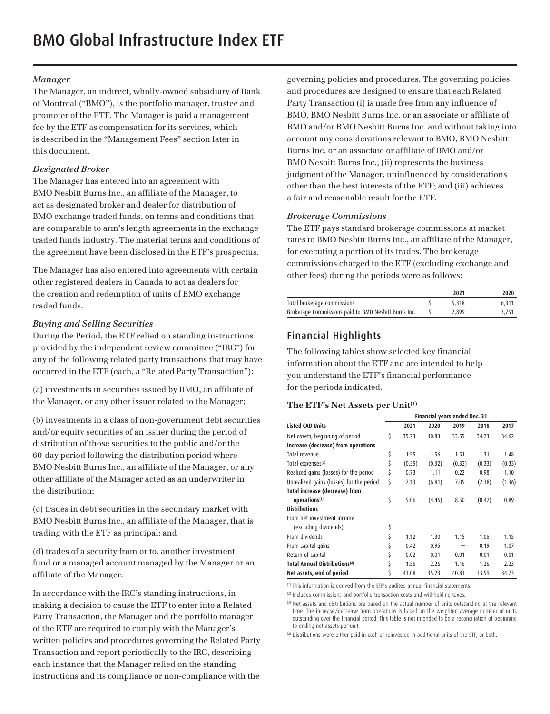### *Manager*

The Manager, an indirect, wholly-owned subsidiary of Bank of Montreal ("BMO"), is the portfolio manager, trustee and promoter of the ETF. The Manager is paid a management fee by the ETF as compensation for its services, which is described in the "Management Fees" section later in this document.

### *Designated Broker*

The Manager has entered into an agreement with BMO Nesbitt Burns Inc., an affiliate of the Manager, to act as designated broker and dealer for distribution of BMO exchange traded funds, on terms and conditions that are comparable to arm's length agreements in the exchange traded funds industry. The material terms and conditions of the agreement have been disclosed in the ETF's prospectus.

The Manager has also entered into agreements with certain other registered dealers in Canada to act as dealers for the creation and redemption of units of BMO exchange traded funds.

### *Buying and Selling Securities*

During the Period, the ETF relied on standing instructions provided by the independent review committee ("IRC") for any of the following related party transactions that may have occurred in the ETF (each, a "Related Party Transaction"):

(a) investments in securities issued by BMO, an affiliate of the Manager, or any other issuer related to the Manager;

(b) investments in a class of non-government debt securities and/or equity securities of an issuer during the period of distribution of those securities to the public and/or the 60-day period following the distribution period where BMO Nesbitt Burns Inc., an affiliate of the Manager, or any other affiliate of the Manager acted as an underwriter in the distribution;

(c) trades in debt securities in the secondary market with BMO Nesbitt Burns Inc., an affiliate of the Manager, that is trading with the ETF as principal; and

(d) trades of a security from or to, another investment fund or a managed account managed by the Manager or an affiliate of the Manager.

In accordance with the IRC's standing instructions, in making a decision to cause the ETF to enter into a Related Party Transaction, the Manager and the portfolio manager of the ETF are required to comply with the Manager's written policies and procedures governing the Related Party Transaction and report periodically to the IRC, describing each instance that the Manager relied on the standing instructions and its compliance or non-compliance with the

governing policies and procedures. The governing policies and procedures are designed to ensure that each Related Party Transaction (i) is made free from any influence of BMO, BMO Nesbitt Burns Inc. or an associate or affiliate of BMO and/or BMO Nesbitt Burns Inc. and without taking into account any considerations relevant to BMO, BMO Nesbitt Burns Inc. or an associate or affiliate of BMO and/or BMO Nesbitt Burns Inc.; (ii) represents the business judgment of the Manager, uninfluenced by considerations other than the best interests of the ETF; and (iii) achieves a fair and reasonable result for the ETF.

### *Brokerage Commissions*

The ETF pays standard brokerage commissions at market rates to BMO Nesbitt Burns Inc., an affiliate of the Manager, for executing a portion of its trades. The brokerage commissions charged to the ETF (excluding exchange and other fees) during the periods were as follows:

|                                                      | 2021  | 2020  |
|------------------------------------------------------|-------|-------|
| Total brokerage commissions                          | 5.318 | 6.311 |
| Brokerage Commissions paid to BMO Nesbitt Burns Inc. | 2.899 | 3.751 |

# Financial Highlights

The following tables show selected key financial information about the ETF and are intended to help you understand the ETF's financial performance for the periods indicated.

### **The ETF's Net Assets per Unit(1)**

|                                          | Financial years ended Dec. 31 |        |        |        |        |        |
|------------------------------------------|-------------------------------|--------|--------|--------|--------|--------|
| <b>Listed CAD Units</b>                  |                               | 2021   | 2020   | 2019   | 2018   | 2017   |
| Net assets, beginning of period          | \$                            | 35.23  | 40.83  | 33.59  | 34.73  | 34.62  |
| Increase (decrease) from operations      |                               |        |        |        |        |        |
| Total revenue                            | \$                            | 1.55   | 1.56   | 1.51   | 1.31   | 1.48   |
| Total expenses <sup>(2)</sup>            | \$                            | (0.35) | (0.32) | (0.32) | (0.33) | (0.33) |
| Realized gains (losses) for the period   | \$                            | 0.73   | 1.11   | 0.22   | 0.98   | 1.10   |
| Unrealized gains (losses) for the period | \$                            | 7.13   | (6.81) | 7.09   | (2.38) | (1.36) |
| <b>Total increase (decrease) from</b>    |                               |        |        |        |        |        |
| operations <sup>(3)</sup>                | \$                            | 9.06   | (4.46) | 8.50   | (0.42) | 0.89   |
| <b>Distributions</b>                     |                               |        |        |        |        |        |
| From net investment income               |                               |        |        |        |        |        |
| (excluding dividends)                    | \$                            |        |        |        |        |        |
| From dividends                           | \$                            | 1.12   | 1.30   | 1.15   | 1.06   | 1.15   |
| From capital gains                       |                               | 0.42   | 0.95   |        | 0.19   | 1.07   |
| Return of capital                        |                               | 0.02   | 0.01   | 0.01   | 0.01   | 0.01   |
| <b>Total Annual Distributions(4)</b>     | \$                            | 1.56   | 2.26   | 1.16   | 1.26   | 2.23   |
| Net assets, end of period                | \$                            | 43.08  | 35.23  | 40.83  | 33.59  | 34.73  |

(1) This information is derived from the ETF's audited annual financial statements.

(2) Includes commissions and portfolio transaction costs and withholding taxes.

<sup>(3)</sup> Net assets and distributions are based on the actual number of units outstanding at the relevant time. The increase/decrease from operations is based on the weighted average number of units outstanding over the financial period. This table is not intended to be a reconciliation of beginning to ending net assets per unit.

(4) Distributions were either paid in cash or reinvested in additional units of the ETF, or both.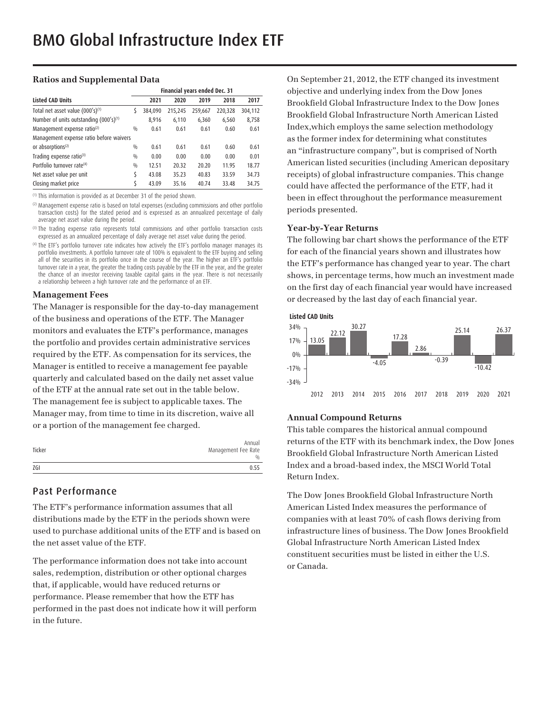### **Ratios and Supplemental Data**

|                                                    | Financial years ended Dec. 31 |         |         |         |         |         |
|----------------------------------------------------|-------------------------------|---------|---------|---------|---------|---------|
| <b>Listed CAD Units</b>                            |                               | 2021    | 2020    | 2019    | 2018    | 2017    |
| Total net asset value (000's) <sup>(1)</sup>       | S                             | 384,090 | 215,245 | 259,667 | 220,328 | 304,112 |
| Number of units outstanding (000's) <sup>(1)</sup> |                               | 8.916   | 6,110   | 6,360   | 6,560   | 8,758   |
| Management expense ratio <sup>(2)</sup>            | 0/0                           | 0.61    | 0.61    | 0.61    | 0.60    | 0.61    |
| Management expense ratio before waivers            |                               |         |         |         |         |         |
| or absorptions <sup>(2)</sup>                      | 0/0                           | 0.61    | 0.61    | 0.61    | 0.60    | 0.61    |
| Trading expense ratio(3)                           | 0/0                           | 0.00    | 0.00    | 0.00    | 0.00    | 0.01    |
| Portfolio turnover rate <sup>(4)</sup>             | 0/0                           | 12.51   | 20.32   | 20.20   | 11.95   | 18.77   |
| Net asset value per unit                           | \$                            | 43.08   | 35.23   | 40.83   | 33.59   | 34.73   |
| Closing market price                               |                               | 43.09   | 35.16   | 40.74   | 33.48   | 34.75   |

(1) This information is provided as at December 31 of the period shown.

(2) Management expense ratio is based on total expenses (excluding commissions and other portfolio transaction costs) for the stated period and is expressed as an annualized percentage of daily average net asset value during the period.

<sup>(3)</sup> The trading expense ratio represents total commissions and other portfolio transaction costs expressed as an annualized percentage of daily average net asset value during the period.

(4) The ETF's portfolio turnover rate indicates how actively the ETF's portfolio manager manages its portfolio investments. A portfolio turnover rate of 100% is equivalent to the ETF buying and selling all of the securities in its portfolio once in the course of the year. The higher an ETF's portfolio turnover rate in a year, the greater the trading costs payable by the ETF in the year, and the greater the chance of an investor receiving taxable capital gains in the year. There is not necessarily a relationship between a high turnover rate and the performance of an ETF.

#### **Management Fees**

The Manager is responsible for the day-to-day management of the business and operations of the ETF. The Manager monitors and evaluates the ETF's performance, manages the portfolio and provides certain administrative services required by the ETF. As compensation for its services, the Manager is entitled to receive a management fee payable quarterly and calculated based on the daily net asset value of the ETF at the annual rate set out in the table below. The management fee is subject to applicable taxes. The Manager may, from time to time in its discretion, waive all or a portion of the management fee charged.

| Ticker | Annual<br>Management Fee Rate<br>$\frac{0}{0}$ |
|--------|------------------------------------------------|
| ZGI    | 0.55                                           |

## Past Performance

The ETF's performance information assumes that all distributions made by the ETF in the periods shown were used to purchase additional units of the ETF and is based on the net asset value of the ETF.

The performance information does not take into account sales, redemption, distribution or other optional charges that, if applicable, would have reduced returns or performance. Please remember that how the ETF has performed in the past does not indicate how it will perform in the future.

On September 21, 2012, the ETF changed its investment objective and underlying index from the Dow Jones Brookfield Global Infrastructure Index to the Dow Jones Brookfield Global Infrastructure North American Listed Index,which employs the same selection methodology as the former index for determining what constitutes an "infrastructure company", but is comprised of North American listed securities (including American depositary receipts) of global infrastructure companies. This change could have affected the performance of the ETF, had it been in effect throughout the performance measurement periods presented.

### **Year-by-Year Returns**

The following bar chart shows the performance of the ETF for each of the financial years shown and illustrates how the ETF's performance has changed year to year. The chart shows, in percentage terms, how much an investment made on the first day of each financial year would have increased or decreased by the last day of each financial year.



### **Annual Compound Returns**

This table compares the historical annual compound returns of the ETF with its benchmark index, the Dow Jones Brookfield Global Infrastructure North American Listed Index and a broad-based index, the MSCI World Total Return Index.

The Dow Jones Brookfield Global Infrastructure North American Listed Index measures the performance of companies with at least 70% of cash flows deriving from infrastructure lines of business. The Dow Jones Brookfield Global Infrastructure North American Listed Index constituent securities must be listed in either the U.S. or Canada.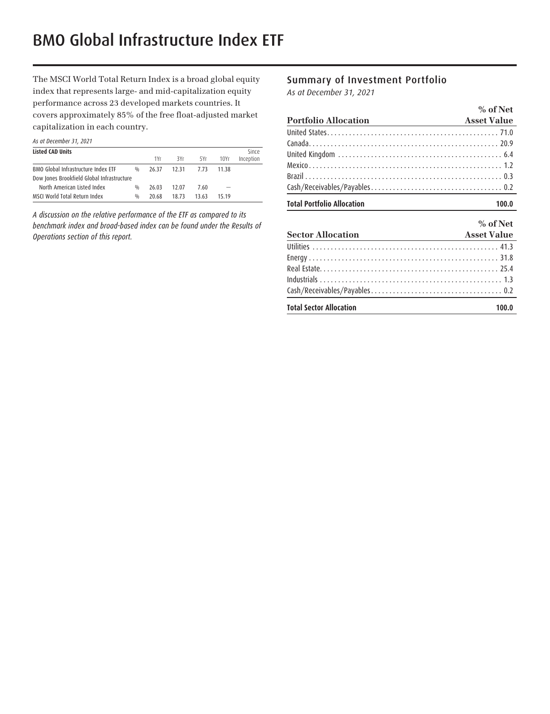The MSCI World Total Return Index is a broad global equity index that represents large- and mid-capitalization equity performance across 23 developed markets countries. It covers approximately 85% of the free float-adjusted market capitalization in each country.

|  | As at December 31, 2021 |  |  |
|--|-------------------------|--|--|
|  |                         |  |  |

| <b>Listed CAD Units</b>                    |     |       |       |       |       | Since     |
|--------------------------------------------|-----|-------|-------|-------|-------|-----------|
|                                            |     | 1Yr   | 3Yr   | 5Yr   | 10Yr  | Inception |
| BMO Global Infrastructure Index ETF        | 0/0 | 26.37 | 12.31 | 7.73  | 11 38 |           |
| Dow Jones Brookfield Global Infrastructure |     |       |       |       |       |           |
| North American Listed Index                | 0/0 | 26.03 | 12.07 | 7.60  |       |           |
| MSCI World Total Return Index              | 0/0 | 20.68 | 18.73 | 13.63 | 15 19 |           |

*A discussion on the relative performance of the ETF as compared to its benchmark index and broad-based index can be found under the Results of Operations section of this report.* 

## Summary of Investment Portfolio

*As at December 31, 2021*

|                                   | $%$ of Net         |
|-----------------------------------|--------------------|
| <b>Portfolio Allocation</b>       | <b>Asset Value</b> |
|                                   |                    |
|                                   |                    |
|                                   |                    |
|                                   |                    |
|                                   |                    |
|                                   |                    |
| <b>Total Portfolio Allocation</b> | 100.0              |
|                                   | $%$ of Net         |
| <b>Sector Allocation</b>          | <b>Asset Value</b> |
|                                   |                    |
| Engray                            | <b>21 Q</b>        |

| <b>Total Sector Allocation</b><br>100.0 |
|-----------------------------------------|
|                                         |
|                                         |
|                                         |
|                                         |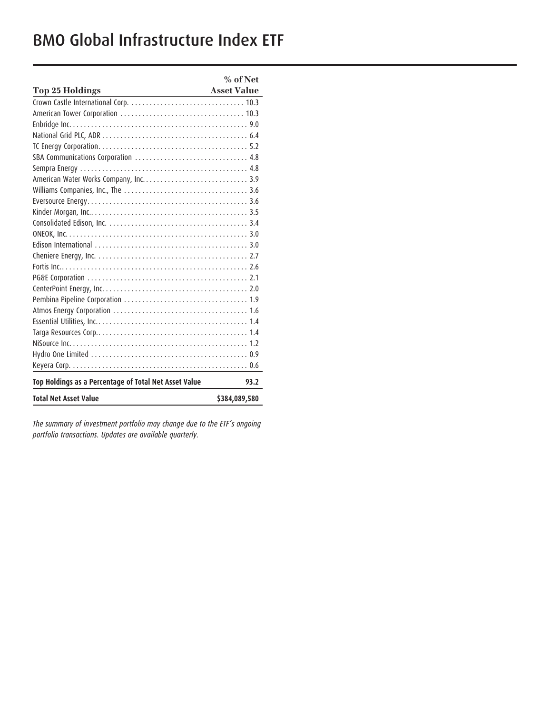# BMO Global Infrastructure Index ETF

|                                                                     | $%$ of Net         |
|---------------------------------------------------------------------|--------------------|
| Top 25 Holdings<br>the control of the control of the control of the | <b>Asset Value</b> |
|                                                                     |                    |
|                                                                     |                    |
|                                                                     |                    |
|                                                                     |                    |
|                                                                     |                    |
|                                                                     |                    |
|                                                                     |                    |
|                                                                     |                    |
|                                                                     |                    |
|                                                                     |                    |
|                                                                     |                    |
|                                                                     |                    |
|                                                                     |                    |
|                                                                     |                    |
|                                                                     |                    |
|                                                                     |                    |
|                                                                     |                    |
|                                                                     |                    |
|                                                                     |                    |
|                                                                     |                    |
|                                                                     |                    |
|                                                                     |                    |
|                                                                     |                    |
|                                                                     |                    |
|                                                                     |                    |
| Top Holdings as a Percentage of Total Net Asset Value               | 93.2               |
| <b>Total Net Asset Value</b>                                        | \$384,089,580      |

*The summary of investment portfolio may change due to the ETF's ongoing portfolio transactions. Updates are available quarterly.*